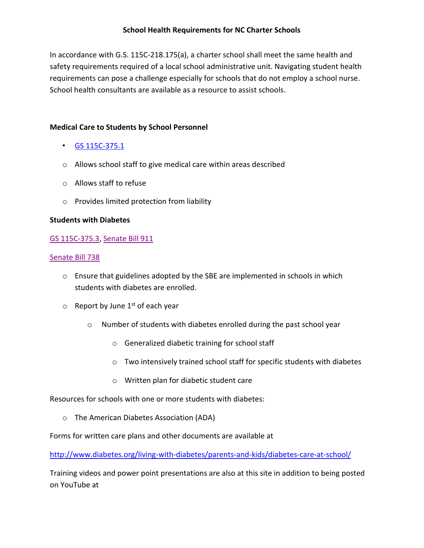In accordance with G.S. 115C-218.175(a), a charter school shall meet the same health and safety requirements required of a local school administrative unit. Navigating student health requirements can pose a challenge especially for schools that do not employ a school nurse. School health consultants are available as a resource to assist schools.

### **Medical Care to Students by School Personnel**

- [GS 115C-375.1](http://www.ncga.state.nc.us/enactedlegislation/statutes/pdf/bysection/chapter_115c/gs_115c-375.1.pdf)
- o Allows school staff to give medical care within areas described
- o Allows staff to refuse
- o Provides limited protection from liability

### **Students with Diabetes**

### [GS 115C-375.3,](http://www.ncga.state.nc.us/EnactedLegislation/Statutes/PDF/BySection/Chapter_115C/GS_115C-375.3.pdf) [Senate Bill 911](http://www.ncleg.net/Sessions/2001/Bills/Senate/PDF/S911v4.pdf)

#### [Senate Bill 738](http://www.ncleg.net/Sessions/2009/Bills/Senate/PDF/S738v4.pdf)

- o Ensure that guidelines adopted by the SBE are implemented in schools in which students with diabetes are enrolled.
- $\circ$  Report by June 1<sup>st</sup> of each year
	- $\circ$  Number of students with diabetes enrolled during the past school year
		- o Generalized diabetic training for school staff
		- o Two intensively trained school staff for specific students with diabetes
		- o Written plan for diabetic student care

Resources for schools with one or more students with diabetes:

o The American Diabetes Association (ADA)

Forms for written care plans and other documents are available at

<http://www.diabetes.org/living-with-diabetes/parents-and-kids/diabetes-care-at-school/>

Training videos and power point presentations are also at this site in addition to being posted on YouTube at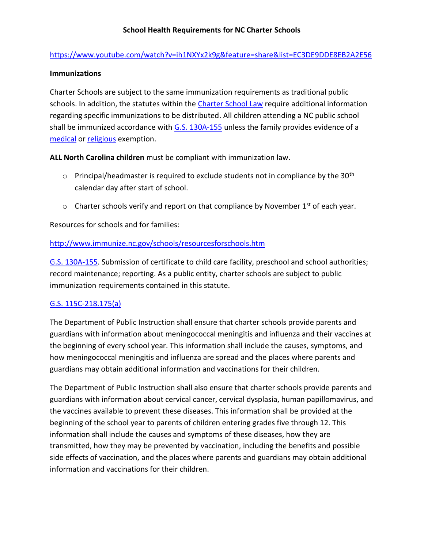# <https://www.youtube.com/watch?v=ih1NXYx2k9g&feature=share&list=EC3DE9DDE8EB2A2E56>

### **Immunizations**

Charter Schools are subject to the same immunization requirements as traditional public schools. In addition, the statutes within the [Charter School Law](http://ocs.ncdpi.wikispaces.net/file/view/NEWCharter%20Law%20Article%2014A.pdf/538615060/NEWCharter%20Law%20Article%2014A.pdf) require additional information regarding specific immunizations to be distributed. All children attending a NC public school shall be immunized accordance with [G.S. 130A-155](https://www.ncleg.net/EnactedLegislation/Statutes/HTML/BySection/Chapter_130A/GS_130A-155.html) unless the family provides evidence of a [medical](https://www.ncleg.net/EnactedLegislation/Statutes/HTML/BySection/Chapter_130A/GS_130A-156.html) or [religious](https://www.ncleg.net/EnactedLegislation/Statutes/HTML/BySection/Chapter_130A/GS_130A-157.html) exemption.

**ALL North Carolina children** must be compliant with immunization law.

- $\circ$  Principal/headmaster is required to exclude students not in compliance by the 30<sup>th</sup> calendar day after start of school.
- $\circ$  Charter schools verify and report on that compliance by November 1<sup>st</sup> of each year.

Resources for schools and for families:

## <http://www.immunize.nc.gov/schools/resourcesforschools.htm>

[G.S. 130A-155.](https://www.ncleg.net/EnactedLegislation/Statutes/HTML/BySection/Chapter_130A/GS_130A-155.html) Submission of certificate to child care facility, preschool and school authorities; record maintenance; reporting. As a public entity, charter schools are subject to public immunization requirements contained in this statute.

# [G.S. 115C-218.175\(a\)](http://ocs.ncdpi.wikispaces.net/file/view/NEWCharter%20Law%20Article%2014A.pdf/538615060/NEWCharter%20Law%20Article%2014A.pdf)

The Department of Public Instruction shall ensure that charter schools provide parents and guardians with information about meningococcal meningitis and influenza and their vaccines at the beginning of every school year. This information shall include the causes, symptoms, and how meningococcal meningitis and influenza are spread and the places where parents and guardians may obtain additional information and vaccinations for their children.

The Department of Public Instruction shall also ensure that charter schools provide parents and guardians with information about cervical cancer, cervical dysplasia, human papillomavirus, and the vaccines available to prevent these diseases. This information shall be provided at the beginning of the school year to parents of children entering grades five through 12. This information shall include the causes and symptoms of these diseases, how they are transmitted, how they may be prevented by vaccination, including the benefits and possible side effects of vaccination, and the places where parents and guardians may obtain additional information and vaccinations for their children.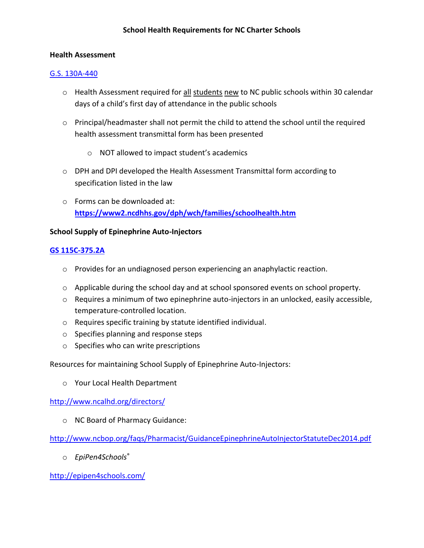### **Health Assessment**

### [G.S. 130A-440](http://www.ncga.state.nc.us/enactedlegislation/statutes/pdf/byarticle/chapter_130a/article_18.pdf)

- o Health Assessment required for all students new to NC public schools within 30 calendar days of a child's first day of attendance in the public schools
- o Principal/headmaster shall not permit the child to attend the school until the required health assessment transmittal form has been presented
	- o NOT allowed to impact student's academics
- o DPH and DPI developed the Health Assessment Transmittal form according to specification listed in the law
- o Forms can be downloaded at: **<https://www2.ncdhhs.gov/dph/wch/families/schoolhealth.htm>**

## **School Supply of Epinephrine Auto-Injectors**

# **[GS](http://www.ncleg.net/Sessions/2013/Bills/Senate/PDF/S700v1.pdf) [115C-375.2A](http://www.ncleg.net/Sessions/2013/Bills/Senate/PDF/S700v1.pdf)**

- $\circ$  Provides for an undiagnosed person experiencing an anaphylactic reaction.
- o Applicable during the school day and at school sponsored events on school property.
- $\circ$  Requires a minimum of two epinephrine auto-injectors in an unlocked, easily accessible, temperature-controlled location.
- o Requires specific training by statute identified individual.
- o Specifies planning and response steps
- o Specifies who can write prescriptions

Resources for maintaining School Supply of Epinephrine Auto-Injectors:

o Your Local Health Department

<http://www.ncalhd.org/directors/>

o NC Board of Pharmacy Guidance:

<http://www.ncbop.org/faqs/Pharmacist/GuidanceEpinephrineAutoInjectorStatuteDec2014.pdf>

o *EpiPen4Schools*®

<http://epipen4schools.com/>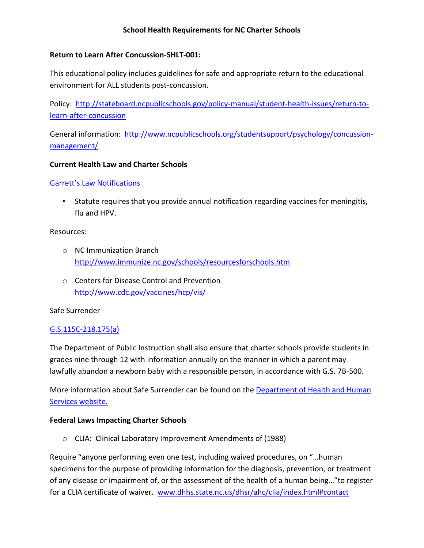### **Return to Learn After Concussion-SHLT-001:**

This educational policy includes guidelines for safe and appropriate return to the educational environment for ALL students post-concussion.

Policy: [http://stateboard.ncpublicschools.gov/policy-manual/student-health-issues/return-to](http://stateboard.ncpublicschools.gov/policy-manual/student-health-issues/return-to-learn-after-concussion)[learn-after-concussion](http://stateboard.ncpublicschools.gov/policy-manual/student-health-issues/return-to-learn-after-concussion)

General information: [http://www.ncpublicschools.org/studentsupport/psychology/concussion](http://www.ncpublicschools.org/studentsupport/psychology/concussion-management/)[management/](http://www.ncpublicschools.org/studentsupport/psychology/concussion-management/)

### **Current Health Law and Charter Schools**

### [Garrett's Law Notifications](http://www.ncga.state.nc.us/sessions/2003/bills/senate/html/s444v5.html)

• Statute requires that you provide annual notification regarding vaccines for meningitis, flu and HPV.

#### Resources:

- o NC Immunization Branch <http://www.immunize.nc.gov/schools/resourcesforschools.htm>
- o Centers for Disease Control and Prevention <http://www.cdc.gov/vaccines/hcp/vis/>

### Safe Surrender

### [G.S.115C-218.175\(a\)](http://ocs.ncdpi.wikispaces.net/file/view/NEWCharter%20Law%20Article%2014A.pdf/538615060/NEWCharter%20Law%20Article%2014A.pdf)

The Department of Public Instruction shall also ensure that charter schools provide students in grades nine through 12 with information annually on the manner in which a parent may lawfully abandon a newborn baby with a responsible person, in accordance with G.S. 7B-500.

More information about Safe Surrender can be found on th[e Department of Health and Human](https://www.ncdhhs.gov/assistance/pregnancy-services/safe-surrender)  [Services website.](https://www.ncdhhs.gov/assistance/pregnancy-services/safe-surrender)

### **Federal Laws Impacting Charter Schools**

o CLIA: Clinical Laboratory Improvement Amendments of (1988)

Require "anyone performing even one test, including waived procedures, on "…human specimens for the purpose of providing information for the diagnosis, prevention, or treatment of any disease or impairment of, or the assessment of the health of a human being…"to register for a CLIA certificate of waiver. [www.dhhs.state.nc.us/dhsr/ahc/clia/index.html#contact](http://www.dhhs.state.nc.us/dhsr/ahc/clia/index.html#contact)